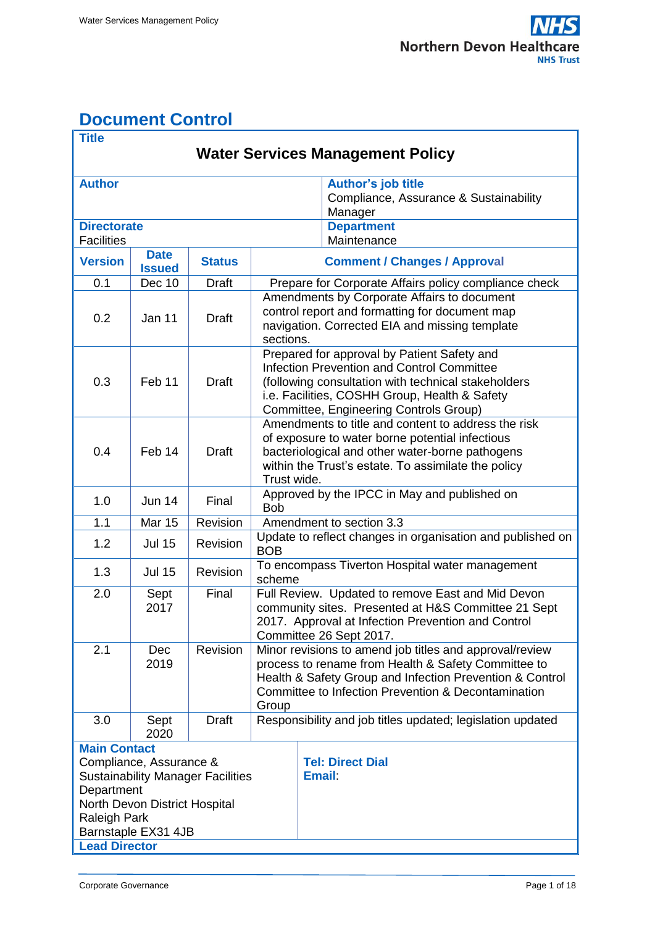# <span id="page-0-0"></span>**Document Control**

| <b>Title</b>                                         |                              |                                          |                                                                                                  |                                                                     |  |  |  |  |  |
|------------------------------------------------------|------------------------------|------------------------------------------|--------------------------------------------------------------------------------------------------|---------------------------------------------------------------------|--|--|--|--|--|
| <b>Water Services Management Policy</b>              |                              |                                          |                                                                                                  |                                                                     |  |  |  |  |  |
| <b>Author</b>                                        |                              |                                          |                                                                                                  |                                                                     |  |  |  |  |  |
|                                                      |                              |                                          |                                                                                                  | <b>Author's job title</b><br>Compliance, Assurance & Sustainability |  |  |  |  |  |
|                                                      |                              |                                          | Manager                                                                                          |                                                                     |  |  |  |  |  |
| <b>Directorate</b>                                   |                              |                                          |                                                                                                  | <b>Department</b>                                                   |  |  |  |  |  |
| <b>Facilities</b>                                    |                              |                                          | Maintenance                                                                                      |                                                                     |  |  |  |  |  |
| <b>Version</b>                                       | <b>Date</b><br><b>Issued</b> | <b>Status</b>                            | <b>Comment / Changes / Approval</b>                                                              |                                                                     |  |  |  |  |  |
| 0.1                                                  | Dec 10                       | Draft                                    | Prepare for Corporate Affairs policy compliance check                                            |                                                                     |  |  |  |  |  |
|                                                      | Jan 11                       | <b>Draft</b>                             |                                                                                                  | Amendments by Corporate Affairs to document                         |  |  |  |  |  |
| 0.2                                                  |                              |                                          | control report and formatting for document map<br>navigation. Corrected EIA and missing template |                                                                     |  |  |  |  |  |
|                                                      |                              |                                          | sections.                                                                                        |                                                                     |  |  |  |  |  |
|                                                      |                              | <b>Draft</b>                             |                                                                                                  | Prepared for approval by Patient Safety and                         |  |  |  |  |  |
|                                                      |                              |                                          | <b>Infection Prevention and Control Committee</b>                                                |                                                                     |  |  |  |  |  |
| 0.3                                                  | Feb 11                       |                                          | (following consultation with technical stakeholders                                              |                                                                     |  |  |  |  |  |
|                                                      |                              |                                          | i.e. Facilities, COSHH Group, Health & Safety<br>Committee, Engineering Controls Group)          |                                                                     |  |  |  |  |  |
|                                                      |                              |                                          |                                                                                                  | Amendments to title and content to address the risk                 |  |  |  |  |  |
|                                                      | Feb 14                       | <b>Draft</b>                             |                                                                                                  | of exposure to water borne potential infectious                     |  |  |  |  |  |
| 0.4                                                  |                              |                                          | bacteriological and other water-borne pathogens                                                  |                                                                     |  |  |  |  |  |
|                                                      |                              |                                          |                                                                                                  | within the Trust's estate. To assimilate the policy                 |  |  |  |  |  |
|                                                      |                              |                                          | Trust wide.                                                                                      |                                                                     |  |  |  |  |  |
| 1.0                                                  | <b>Jun 14</b>                | Final                                    | Approved by the IPCC in May and published on<br><b>Bob</b>                                       |                                                                     |  |  |  |  |  |
| 1.1                                                  | <b>Mar 15</b>                | Revision                                 | Amendment to section 3.3                                                                         |                                                                     |  |  |  |  |  |
| 1.2                                                  | <b>Jul 15</b>                | Revision                                 | Update to reflect changes in organisation and published on<br><b>BOB</b>                         |                                                                     |  |  |  |  |  |
| 1.3                                                  | <b>Jul 15</b>                | Revision                                 | To encompass Tiverton Hospital water management<br>scheme                                        |                                                                     |  |  |  |  |  |
| 2.0                                                  | Sept<br>2017                 | Final                                    |                                                                                                  | Full Review. Updated to remove East and Mid Devon                   |  |  |  |  |  |
|                                                      |                              |                                          | community sites. Presented at H&S Committee 21 Sept                                              |                                                                     |  |  |  |  |  |
|                                                      |                              |                                          | 2017. Approval at Infection Prevention and Control<br>Committee 26 Sept 2017.                    |                                                                     |  |  |  |  |  |
| 2.1                                                  | Dec                          | Revision                                 | Minor revisions to amend job titles and approval/review                                          |                                                                     |  |  |  |  |  |
|                                                      | 2019                         |                                          |                                                                                                  | process to rename from Health & Safety Committee to                 |  |  |  |  |  |
|                                                      |                              |                                          |                                                                                                  | Health & Safety Group and Infection Prevention & Control            |  |  |  |  |  |
|                                                      |                              |                                          |                                                                                                  | Committee to Infection Prevention & Decontamination                 |  |  |  |  |  |
| Group                                                |                              |                                          |                                                                                                  |                                                                     |  |  |  |  |  |
| 3.0                                                  | Sept<br>2020                 | <b>Draft</b>                             |                                                                                                  | Responsibility and job titles updated; legislation updated          |  |  |  |  |  |
| <b>Main Contact</b>                                  |                              |                                          |                                                                                                  |                                                                     |  |  |  |  |  |
| Compliance, Assurance &                              |                              |                                          |                                                                                                  | <b>Tel: Direct Dial</b>                                             |  |  |  |  |  |
|                                                      |                              | <b>Sustainability Manager Facilities</b> | <b>Email:</b>                                                                                    |                                                                     |  |  |  |  |  |
| Department                                           |                              |                                          |                                                                                                  |                                                                     |  |  |  |  |  |
| North Devon District Hospital<br><b>Raleigh Park</b> |                              |                                          |                                                                                                  |                                                                     |  |  |  |  |  |
|                                                      | Barnstaple EX31 4JB          |                                          |                                                                                                  |                                                                     |  |  |  |  |  |
| <b>Lead Director</b>                                 |                              |                                          |                                                                                                  |                                                                     |  |  |  |  |  |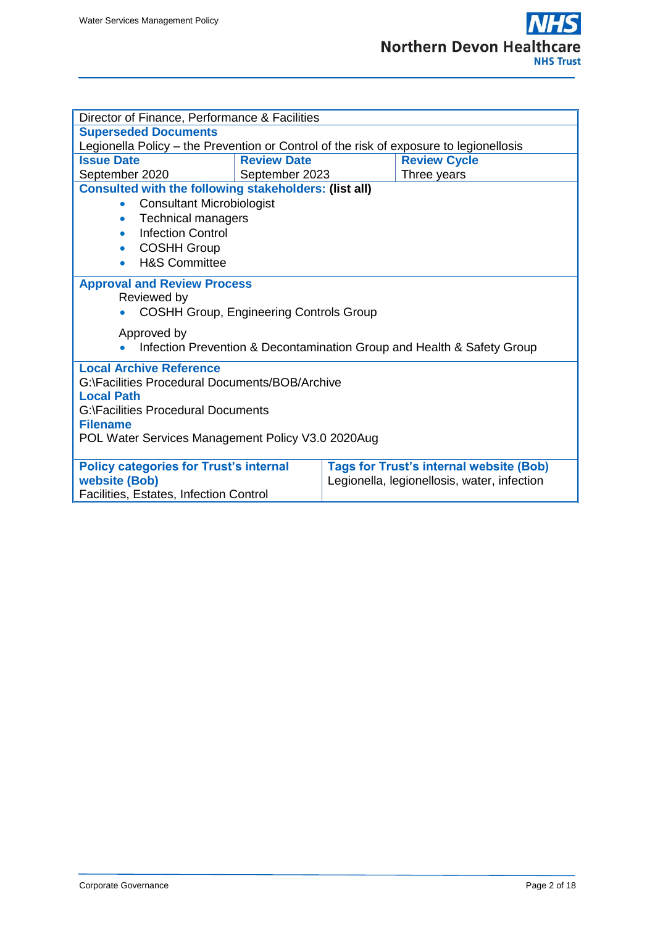| Director of Finance, Performance & Facilities                                                       |                    |                                             |                     |  |  |  |  |  |
|-----------------------------------------------------------------------------------------------------|--------------------|---------------------------------------------|---------------------|--|--|--|--|--|
| <b>Superseded Documents</b>                                                                         |                    |                                             |                     |  |  |  |  |  |
| Legionella Policy - the Prevention or Control of the risk of exposure to legionellosis              |                    |                                             |                     |  |  |  |  |  |
| <b>Issue Date</b>                                                                                   | <b>Review Date</b> |                                             | <b>Review Cycle</b> |  |  |  |  |  |
| September 2020                                                                                      | September 2023     |                                             | Three years         |  |  |  |  |  |
| <b>Consulted with the following stakeholders: (list all)</b>                                        |                    |                                             |                     |  |  |  |  |  |
| <b>Consultant Microbiologist</b><br>$\bullet$                                                       |                    |                                             |                     |  |  |  |  |  |
| <b>Technical managers</b><br>$\bullet$                                                              |                    |                                             |                     |  |  |  |  |  |
| <b>Infection Control</b><br>$\bullet$                                                               |                    |                                             |                     |  |  |  |  |  |
| <b>COSHH Group</b><br>$\bullet$                                                                     |                    |                                             |                     |  |  |  |  |  |
| <b>H&amp;S Committee</b><br>۰                                                                       |                    |                                             |                     |  |  |  |  |  |
| <b>Approval and Review Process</b><br>Reviewed by<br><b>COSHH Group, Engineering Controls Group</b> |                    |                                             |                     |  |  |  |  |  |
|                                                                                                     |                    |                                             |                     |  |  |  |  |  |
| Approved by<br>Infection Prevention & Decontamination Group and Health & Safety Group               |                    |                                             |                     |  |  |  |  |  |
| <b>Local Archive Reference</b>                                                                      |                    |                                             |                     |  |  |  |  |  |
| G:\Facilities Procedural Documents/BOB/Archive                                                      |                    |                                             |                     |  |  |  |  |  |
| <b>Local Path</b>                                                                                   |                    |                                             |                     |  |  |  |  |  |
| G:\Facilities Procedural Documents                                                                  |                    |                                             |                     |  |  |  |  |  |
| <b>Filename</b>                                                                                     |                    |                                             |                     |  |  |  |  |  |
| POL Water Services Management Policy V3.0 2020Aug                                                   |                    |                                             |                     |  |  |  |  |  |
| <b>Tags for Trust's internal website (Bob)</b><br><b>Policy categories for Trust's internal</b>     |                    |                                             |                     |  |  |  |  |  |
| website (Bob)                                                                                       |                    | Legionella, legionellosis, water, infection |                     |  |  |  |  |  |
| Facilities, Estates, Infection Control                                                              |                    |                                             |                     |  |  |  |  |  |
|                                                                                                     |                    |                                             |                     |  |  |  |  |  |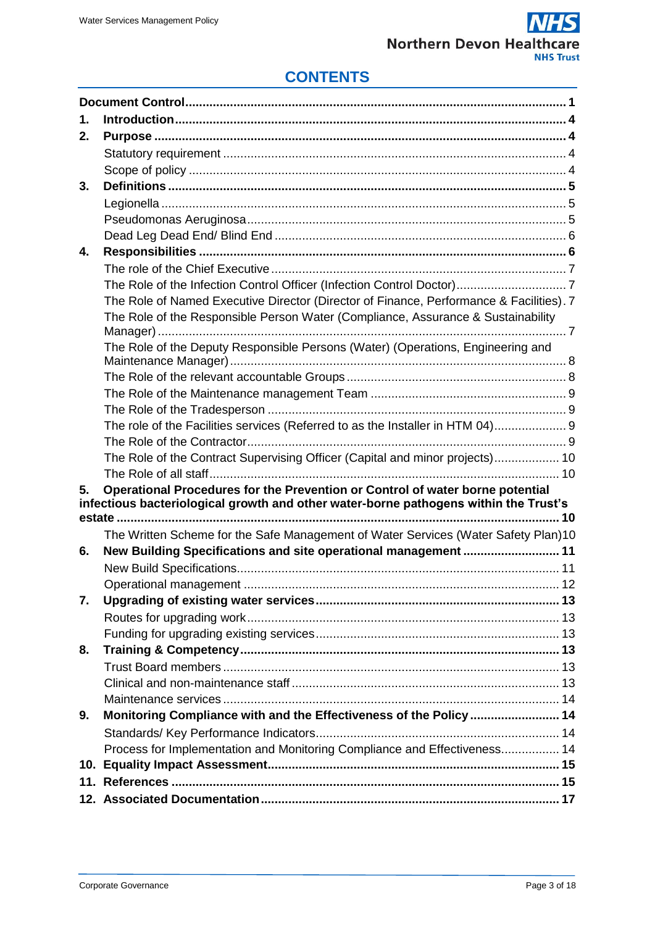

## **CONTENTS**

| 1. |                                                                                         |    |  |  |  |
|----|-----------------------------------------------------------------------------------------|----|--|--|--|
| 2. |                                                                                         |    |  |  |  |
|    |                                                                                         |    |  |  |  |
|    |                                                                                         |    |  |  |  |
| 3. |                                                                                         |    |  |  |  |
|    |                                                                                         |    |  |  |  |
|    |                                                                                         |    |  |  |  |
|    |                                                                                         |    |  |  |  |
| 4. |                                                                                         |    |  |  |  |
|    |                                                                                         |    |  |  |  |
|    |                                                                                         |    |  |  |  |
|    | The Role of Named Executive Director (Director of Finance, Performance & Facilities). 7 |    |  |  |  |
|    | The Role of the Responsible Person Water (Compliance, Assurance & Sustainability        |    |  |  |  |
|    |                                                                                         |    |  |  |  |
|    | The Role of the Deputy Responsible Persons (Water) (Operations, Engineering and         |    |  |  |  |
|    |                                                                                         |    |  |  |  |
|    |                                                                                         |    |  |  |  |
|    |                                                                                         |    |  |  |  |
|    | The role of the Facilities services (Referred to as the Installer in HTM 04) 9          |    |  |  |  |
|    |                                                                                         |    |  |  |  |
|    |                                                                                         |    |  |  |  |
|    | The Role of the Contract Supervising Officer (Capital and minor projects) 10            |    |  |  |  |
| 5. | Operational Procedures for the Prevention or Control of water borne potential           |    |  |  |  |
|    | infectious bacteriological growth and other water-borne pathogens within the Trust's    |    |  |  |  |
|    |                                                                                         |    |  |  |  |
|    | The Written Scheme for the Safe Management of Water Services (Water Safety Plan)10      |    |  |  |  |
| 6. | New Building Specifications and site operational management  11                         |    |  |  |  |
|    |                                                                                         |    |  |  |  |
|    |                                                                                         | 12 |  |  |  |
| 7. |                                                                                         |    |  |  |  |
|    |                                                                                         |    |  |  |  |
|    |                                                                                         |    |  |  |  |
| 8. |                                                                                         |    |  |  |  |
|    |                                                                                         |    |  |  |  |
|    |                                                                                         |    |  |  |  |
|    |                                                                                         |    |  |  |  |
| 9. | Monitoring Compliance with and the Effectiveness of the Policy  14                      |    |  |  |  |
|    |                                                                                         |    |  |  |  |
|    | Process for Implementation and Monitoring Compliance and Effectiveness 14               |    |  |  |  |
|    |                                                                                         |    |  |  |  |
|    |                                                                                         |    |  |  |  |
|    |                                                                                         |    |  |  |  |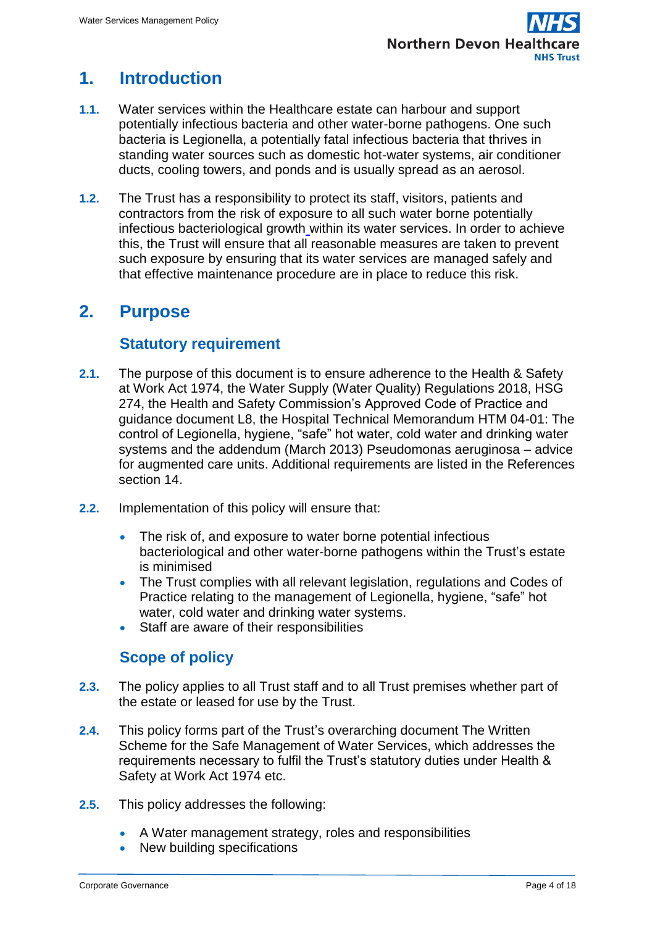# <span id="page-3-0"></span>**1. Introduction**

- **1.1.** Water services within the Healthcare estate can harbour and support potentially infectious bacteria and other water-borne pathogens. One such bacteria is Legionella, a potentially fatal infectious bacteria that thrives in standing water sources such as domestic hot-water systems, air conditioner ducts, cooling towers, and ponds and is usually spread as an [aerosol.](http://www.wisegeek.com/what-are-aerosols.htm)
- **1.2.** The Trust has a responsibility to protect its staff, visitors, patients and contractors from the risk of exposure to all such water borne potentially infectious bacteriological growth within its water services. In order to achieve this, the Trust will ensure that all reasonable measures are taken to prevent such exposure by ensuring that its water services are managed safely and that effective maintenance procedure are in place to reduce this risk.

## <span id="page-3-1"></span>**2. Purpose**

## **Statutory requirement**

- <span id="page-3-2"></span>**2.1.** The purpose of this document is to ensure adherence to the Health & Safety at Work Act 1974, the Water Supply (Water Quality) Regulations 2018, HSG 274, the Health and Safety Commission's Approved Code of Practice and guidance document L8, the Hospital Technical Memorandum HTM 04-01: The control of Legionella, hygiene, "safe" hot water, cold water and drinking water systems and the addendum (March 2013) Pseudomonas aeruginosa – advice for augmented care units. Additional requirements are listed in the References section 14.
- **2.2.** Implementation of this policy will ensure that:
	- The risk of, and exposure to water borne potential infectious bacteriological and other water-borne pathogens within the Trust's estate is minimised
	- The Trust complies with all relevant legislation, regulations and Codes of Practice relating to the management of Legionella, hygiene, "safe" hot water, cold water and drinking water systems.
	- Staff are aware of their responsibilities

## **Scope of policy**

- <span id="page-3-3"></span>**2.3.** The policy applies to all Trust staff and to all Trust premises whether part of the estate or leased for use by the Trust.
- **2.4.** This policy forms part of the Trust's overarching document The Written Scheme for the Safe Management of Water Services, which addresses the requirements necessary to fulfil the Trust's statutory duties under Health & Safety at Work Act 1974 etc.
- **2.5.** This policy addresses the following:
	- A Water management strategy, roles and responsibilities
	- New building specifications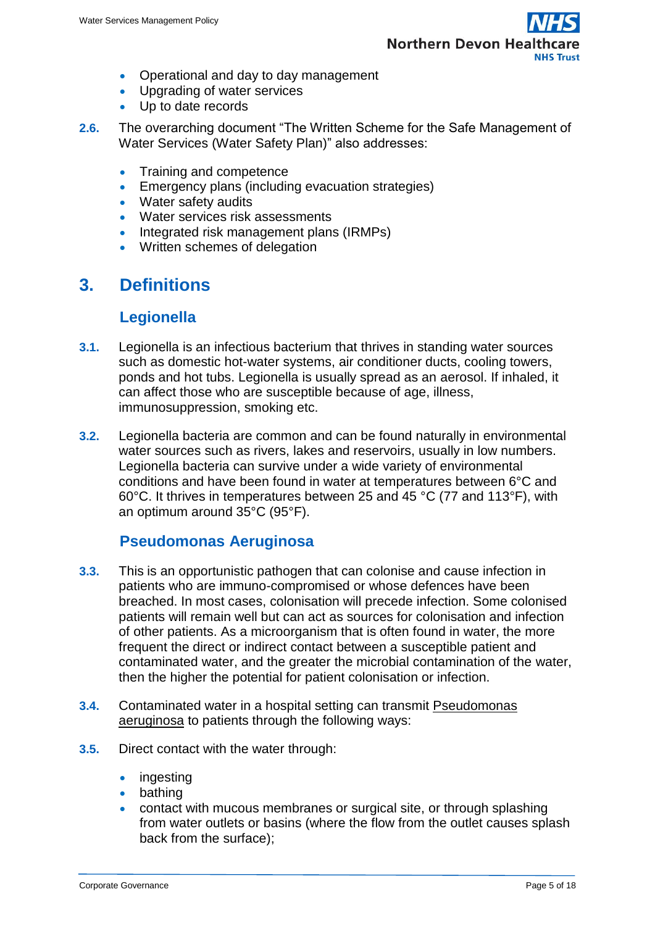

- Operational and day to day management
- Upgrading of water services
- Up to date records
- **2.6.** The overarching document "The Written Scheme for the Safe Management of Water Services (Water Safety Plan)" also addresses:
	- Training and competence
	- **Emergency plans (including evacuation strategies)**
	- Water safety audits
	- Water services risk assessments
	- Integrated risk management plans (IRMPs)
	- Written schemes of delegation

## <span id="page-4-0"></span>**3. Definitions**

#### **Legionella**

- <span id="page-4-1"></span>**3.1.** Legionella is an infectious bacterium that thrives in standing water sources such as domestic hot-water systems, air conditioner ducts, cooling towers, ponds and hot tubs. Legionella is usually spread as an [aerosol.](http://www.wisegeek.com/what-are-aerosols.htm) If inhaled, it can affect those who are susceptible because of age, illness, immunosuppression, smoking etc.
- **3.2.** Legionella bacteria are common and can be found naturally in environmental water sources such as rivers, lakes and reservoirs, usually in low numbers. Legionella bacteria can survive under a wide variety of environmental conditions and have been found in water at temperatures between 6°C and 60°C. It thrives in temperatures between 25 and 45 °C (77 and 113°F), with an optimum around 35°C (95°F).

#### **Pseudomonas Aeruginosa**

- <span id="page-4-2"></span>**3.3.** This is an opportunistic pathogen that can colonise and cause infection in patients who are immuno-compromised or whose defences have been breached. In most cases, colonisation will precede infection. Some colonised patients will remain well but can act as sources for colonisation and infection of other patients. As a microorganism that is often found in water, the more frequent the direct or indirect contact between a susceptible patient and contaminated water, and the greater the microbial contamination of the water, then the higher the potential for patient colonisation or infection.
- **3.4.** Contaminated water in a hospital setting can transmit Pseudomonas aeruginosa to patients through the following ways:
- **3.5.** Direct contact with the water through:
	- ingesting
	- bathing
	- contact with mucous membranes or surgical site, or through splashing from water outlets or basins (where the flow from the outlet causes splash back from the surface);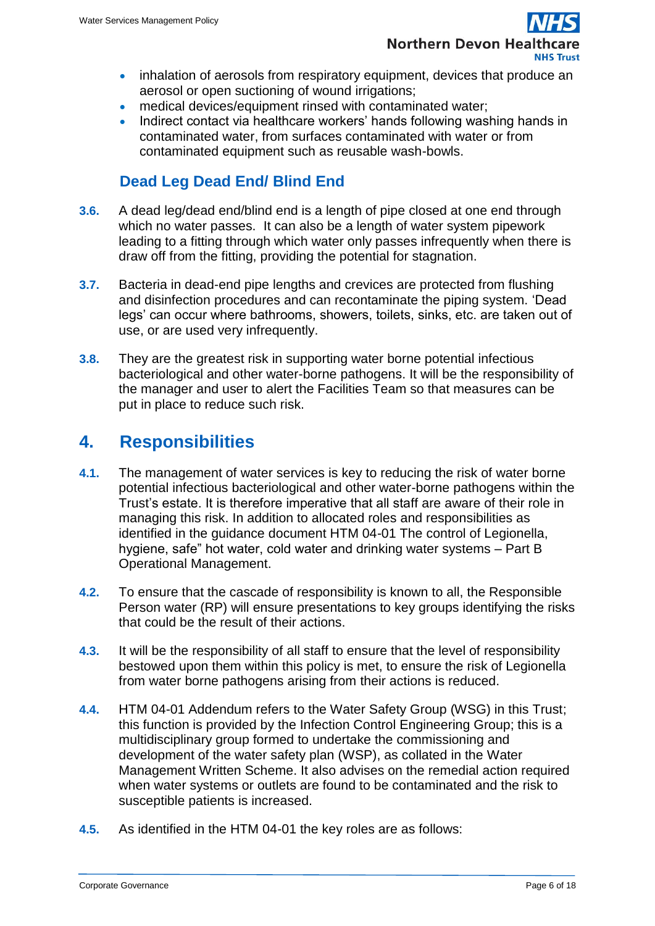

- inhalation of aerosols from respiratory equipment, devices that produce an aerosol or open suctioning of wound irrigations;
- medical devices/equipment rinsed with contaminated water;
- Indirect contact via healthcare workers' hands following washing hands in contaminated water, from surfaces contaminated with water or from contaminated equipment such as reusable wash-bowls.

## **Dead Leg Dead End/ Blind End**

- <span id="page-5-0"></span>**3.6.** A dead leg/dead end/blind end is a length of pipe closed at one end through which no water passes. It can also be a length of water system pipework leading to a fitting through which water only passes infrequently when there is draw off from the fitting, providing the potential for stagnation.
- **3.7.** Bacteria in dead-end pipe lengths and crevices are protected from flushing and disinfection procedures and can recontaminate the piping system. 'Dead legs' can occur where bathrooms, showers, toilets, sinks, etc. are taken out of use, or are used very infrequently.
- **3.8.** They are the greatest risk in supporting water borne potential infectious bacteriological and other water-borne pathogens. It will be the responsibility of the manager and user to alert the Facilities Team so that measures can be put in place to reduce such risk.

## <span id="page-5-1"></span>**4. Responsibilities**

- **4.1.** The management of water services is key to reducing the risk of water borne potential infectious bacteriological and other water-borne pathogens within the Trust's estate. It is therefore imperative that all staff are aware of their role in managing this risk. In addition to allocated roles and responsibilities as identified in the guidance document HTM 04-01 The control of Legionella, hygiene, safe" hot water, cold water and drinking water systems – Part B Operational Management.
- **4.2.** To ensure that the cascade of responsibility is known to all, the Responsible Person water (RP) will ensure presentations to key groups identifying the risks that could be the result of their actions.
- **4.3.** It will be the responsibility of all staff to ensure that the level of responsibility bestowed upon them within this policy is met, to ensure the risk of Legionella from water borne pathogens arising from their actions is reduced.
- **4.4.** HTM 04-01 Addendum refers to the Water Safety Group (WSG) in this Trust; this function is provided by the Infection Control Engineering Group; this is a multidisciplinary group formed to undertake the commissioning and development of the water safety plan (WSP), as collated in the Water Management Written Scheme. It also advises on the remedial action required when water systems or outlets are found to be contaminated and the risk to susceptible patients is increased.
- **4.5.** As identified in the HTM 04-01 the key roles are as follows: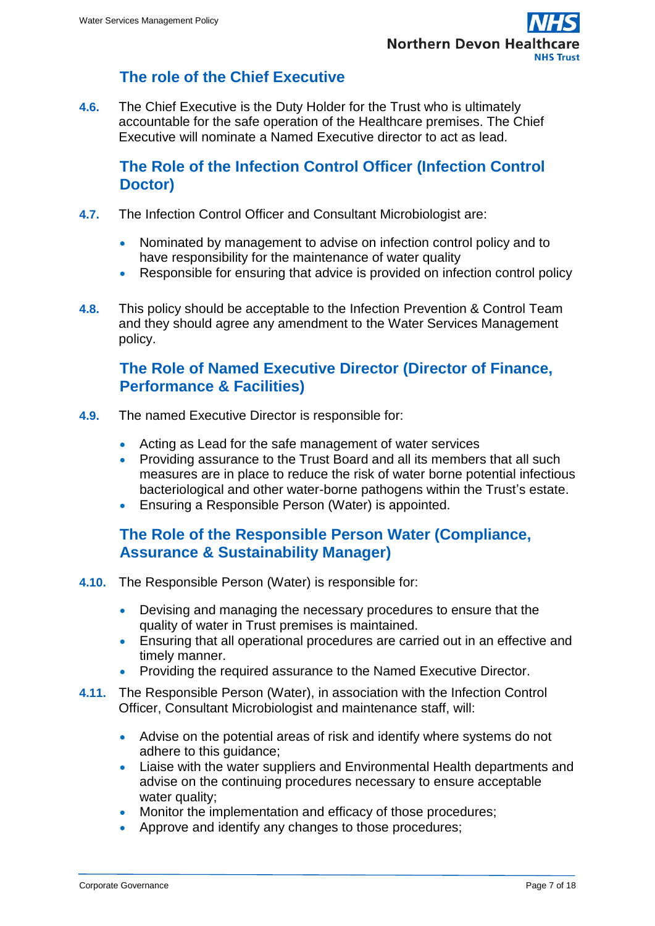## **The role of the Chief Executive**

<span id="page-6-0"></span>**4.6.** The Chief Executive is the Duty Holder for the Trust who is ultimately accountable for the safe operation of the Healthcare premises. The Chief Executive will nominate a Named Executive director to act as lead.

#### <span id="page-6-1"></span>**The Role of the Infection Control Officer (Infection Control Doctor)**

- **4.7.** The Infection Control Officer and Consultant Microbiologist are:
	- Nominated by management to advise on infection control policy and to have responsibility for the maintenance of water quality
	- Responsible for ensuring that advice is provided on infection control policy
- **4.8.** This policy should be acceptable to the Infection Prevention & Control Team and they should agree any amendment to the Water Services Management policy.

#### <span id="page-6-2"></span>**The Role of Named Executive Director (Director of Finance, Performance & Facilities)**

- **4.9.** The named Executive Director is responsible for:
	- Acting as Lead for the safe management of water services
	- Providing assurance to the Trust Board and all its members that all such measures are in place to reduce the risk of water borne potential infectious bacteriological and other water-borne pathogens within the Trust's estate.
	- Ensuring a Responsible Person (Water) is appointed.

#### <span id="page-6-3"></span>**The Role of the Responsible Person Water (Compliance, Assurance & Sustainability Manager)**

- **4.10.** The Responsible Person (Water) is responsible for:
	- Devising and managing the necessary procedures to ensure that the quality of water in Trust premises is maintained.
	- Ensuring that all operational procedures are carried out in an effective and timely manner.
	- Providing the required assurance to the Named Executive Director.
- **4.11.** The Responsible Person (Water), in association with the Infection Control Officer, Consultant Microbiologist and maintenance staff, will:
	- Advise on the potential areas of risk and identify where systems do not adhere to this guidance;
	- Liaise with the water suppliers and Environmental Health departments and advise on the continuing procedures necessary to ensure acceptable water quality;
	- Monitor the implementation and efficacy of those procedures:
	- Approve and identify any changes to those procedures;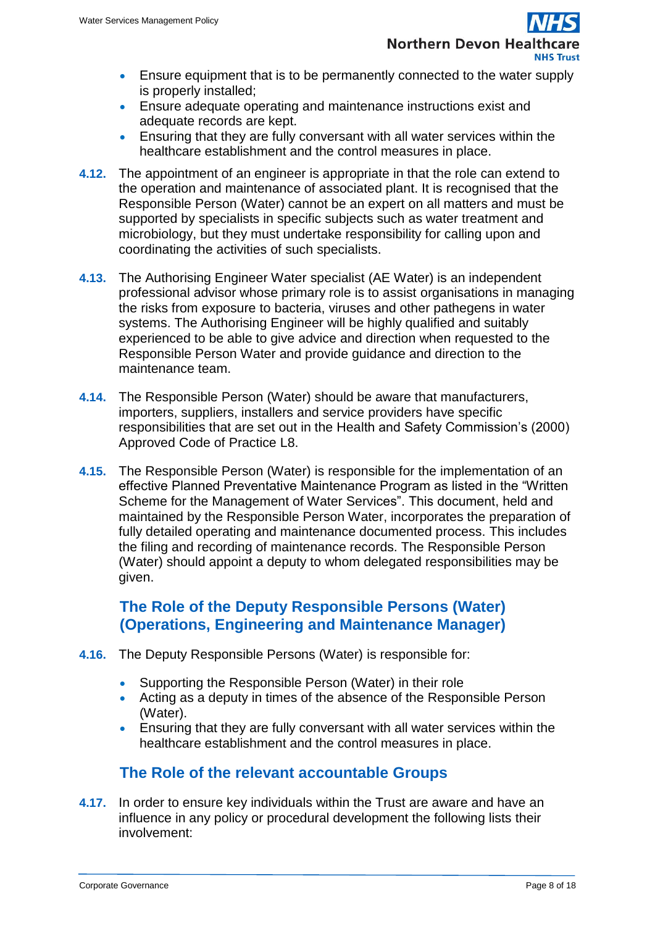- **Ensure equipment that is to be permanently connected to the water supply** is properly installed;
- Ensure adequate operating and maintenance instructions exist and adequate records are kept.
- Ensuring that they are fully conversant with all water services within the healthcare establishment and the control measures in place.
- **4.12.** The appointment of an engineer is appropriate in that the role can extend to the operation and maintenance of associated plant. It is recognised that the Responsible Person (Water) cannot be an expert on all matters and must be supported by specialists in specific subjects such as water treatment and microbiology, but they must undertake responsibility for calling upon and coordinating the activities of such specialists.
- **4.13.** The Authorising Engineer Water specialist (AE Water) is an independent professional advisor whose primary role is to assist organisations in managing the risks from exposure to bacteria, viruses and other pathegens in water systems. The Authorising Engineer will be highly qualified and suitably experienced to be able to give advice and direction when requested to the Responsible Person Water and provide guidance and direction to the maintenance team.
- **4.14.** The Responsible Person (Water) should be aware that manufacturers, importers, suppliers, installers and service providers have specific responsibilities that are set out in the Health and Safety Commission's (2000) Approved Code of Practice L8.
- **4.15.** The Responsible Person (Water) is responsible for the implementation of an effective Planned Preventative Maintenance Program as listed in the "Written Scheme for the Management of Water Services". This document, held and maintained by the Responsible Person Water, incorporates the preparation of fully detailed operating and maintenance documented process. This includes the filing and recording of maintenance records. The Responsible Person (Water) should appoint a deputy to whom delegated responsibilities may be given.

## <span id="page-7-0"></span>**The Role of the Deputy Responsible Persons (Water) (Operations, Engineering and Maintenance Manager)**

- **4.16.** The Deputy Responsible Persons (Water) is responsible for:
	- Supporting the Responsible Person (Water) in their role
	- Acting as a deputy in times of the absence of the Responsible Person (Water).
	- Ensuring that they are fully conversant with all water services within the healthcare establishment and the control measures in place.

## **The Role of the relevant accountable Groups**

<span id="page-7-1"></span>**4.17.** In order to ensure key individuals within the Trust are aware and have an influence in any policy or procedural development the following lists their involvement: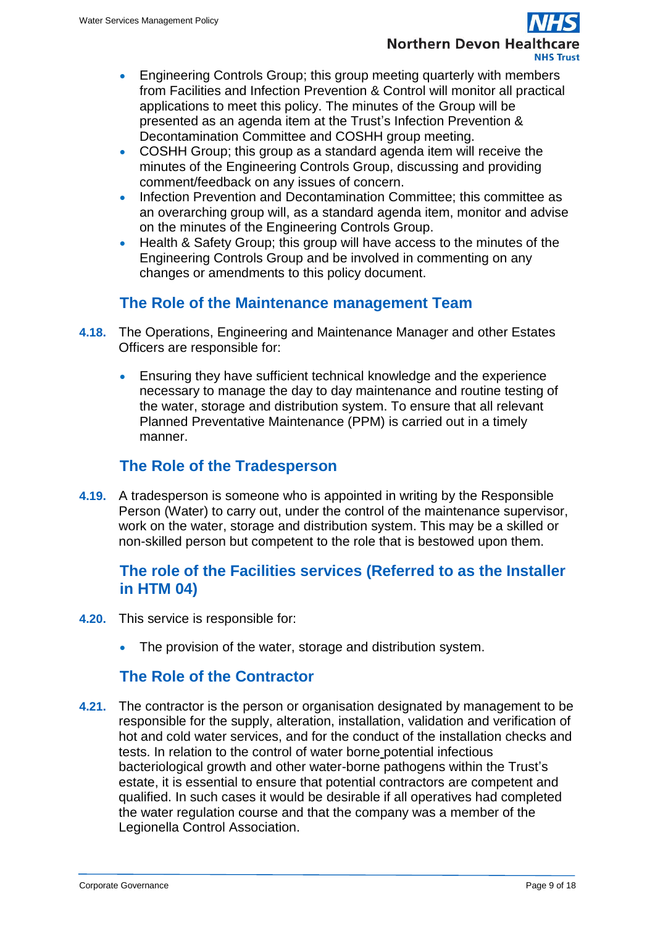- Engineering Controls Group; this group meeting quarterly with members from Facilities and Infection Prevention & Control will monitor all practical applications to meet this policy. The minutes of the Group will be presented as an agenda item at the Trust's Infection Prevention & Decontamination Committee and COSHH group meeting.
- COSHH Group; this group as a standard agenda item will receive the minutes of the Engineering Controls Group, discussing and providing comment/feedback on any issues of concern.
- Infection Prevention and Decontamination Committee; this committee as an overarching group will, as a standard agenda item, monitor and advise on the minutes of the Engineering Controls Group.
- Health & Safety Group; this group will have access to the minutes of the Engineering Controls Group and be involved in commenting on any changes or amendments to this policy document.

## **The Role of the Maintenance management Team**

- <span id="page-8-0"></span>**4.18.** The Operations, Engineering and Maintenance Manager and other Estates Officers are responsible for:
	- Ensuring they have sufficient technical knowledge and the experience necessary to manage the day to day maintenance and routine testing of the water, storage and distribution system. To ensure that all relevant Planned Preventative Maintenance (PPM) is carried out in a timely manner.

## **The Role of the Tradesperson**

<span id="page-8-1"></span>**4.19.** A tradesperson is someone who is appointed in writing by the Responsible Person (Water) to carry out, under the control of the maintenance supervisor, work on the water, storage and distribution system. This may be a skilled or non-skilled person but competent to the role that is bestowed upon them.

## <span id="page-8-2"></span>**The role of the Facilities services (Referred to as the Installer in HTM 04)**

- **4.20.** This service is responsible for:
	- The provision of the water, storage and distribution system.

## **The Role of the Contractor**

<span id="page-8-3"></span>**4.21.** The contractor is the person or organisation designated by management to be responsible for the supply, alteration, installation, validation and verification of hot and cold water services, and for the conduct of the installation checks and tests. In relation to the control of water borne potential infectious bacteriological growth and other water-borne pathogens within the Trust's estate, it is essential to ensure that potential contractors are competent and qualified. In such cases it would be desirable if all operatives had completed the water regulation course and that the company was a member of the Legionella Control Association.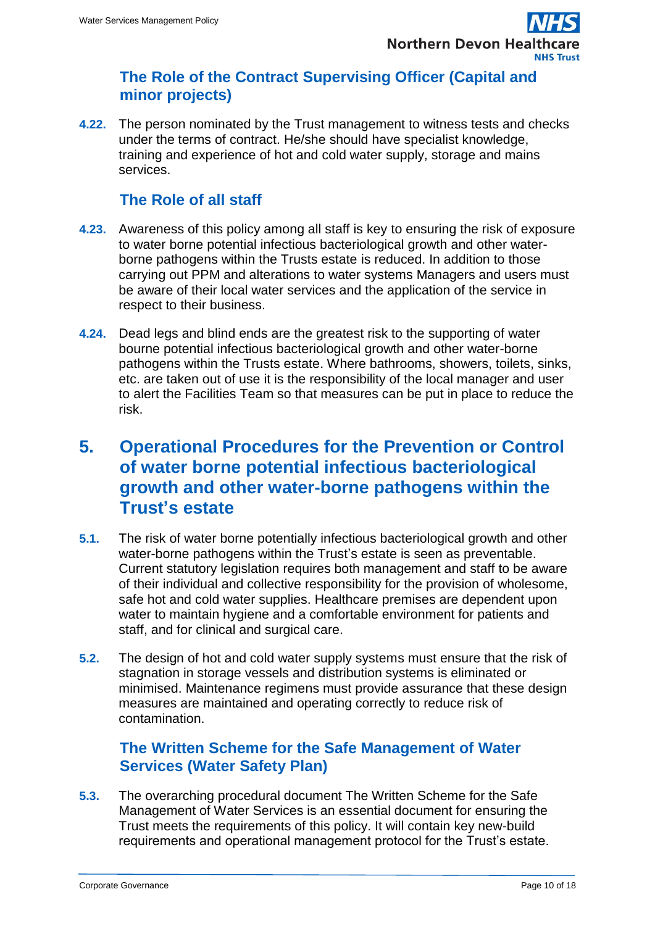#### <span id="page-9-0"></span>**The Role of the Contract Supervising Officer (Capital and minor projects)**

**4.22.** The person nominated by the Trust management to witness tests and checks under the terms of contract. He/she should have specialist knowledge, training and experience of hot and cold water supply, storage and mains services.

## **The Role of all staff**

- <span id="page-9-1"></span>**4.23.** Awareness of this policy among all staff is key to ensuring the risk of exposure to water borne potential infectious bacteriological growth and other waterborne pathogens within the Trusts estate is reduced. In addition to those carrying out PPM and alterations to water systems Managers and users must be aware of their local water services and the application of the service in respect to their business.
- **4.24.** Dead legs and blind ends are the greatest risk to the supporting of water bourne potential infectious bacteriological growth and other water-borne pathogens within the Trusts estate. Where bathrooms, showers, toilets, sinks, etc. are taken out of use it is the responsibility of the local manager and user to alert the Facilities Team so that measures can be put in place to reduce the risk.

## <span id="page-9-2"></span>**5. Operational Procedures for the Prevention or Control of water borne potential infectious bacteriological growth and other water-borne pathogens within the Trust's estate**

- **5.1.** The risk of water borne potentially infectious bacteriological growth and other water-borne pathogens within the Trust's estate is seen as preventable. Current statutory legislation requires both management and staff to be aware of their individual and collective responsibility for the provision of wholesome, safe hot and cold water supplies. Healthcare premises are dependent upon water to maintain hygiene and a comfortable environment for patients and staff, and for clinical and surgical care.
- **5.2.** The design of hot and cold water supply systems must ensure that the risk of stagnation in storage vessels and distribution systems is eliminated or minimised. Maintenance regimens must provide assurance that these design measures are maintained and operating correctly to reduce risk of contamination.

## <span id="page-9-3"></span>**The Written Scheme for the Safe Management of Water Services (Water Safety Plan)**

**5.3.** The overarching procedural document The Written Scheme for the Safe Management of Water Services is an essential document for ensuring the Trust meets the requirements of this policy. It will contain key new-build requirements and operational management protocol for the Trust's estate.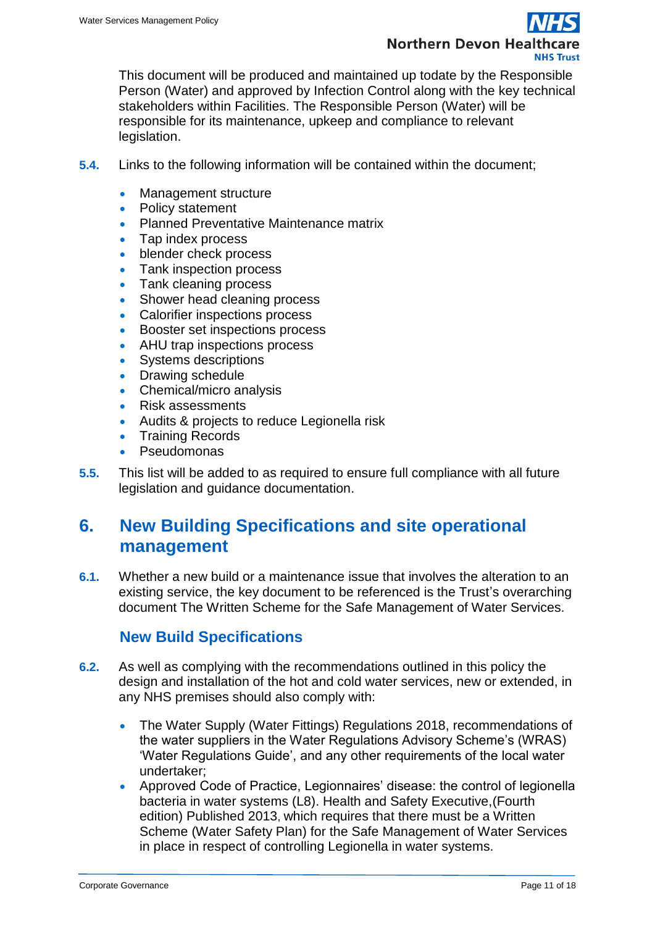

This document will be produced and maintained up todate by the Responsible Person (Water) and approved by Infection Control along with the key technical stakeholders within Facilities. The Responsible Person (Water) will be responsible for its maintenance, upkeep and compliance to relevant legislation.

- **5.4.** Links to the following information will be contained within the document;
	- Management structure
	- Policy statement
	- Planned Preventative Maintenance matrix
	- Tap index process
	- blender check process
	- Tank inspection process
	- Tank cleaning process
	- Shower head cleaning process
	- Calorifier inspections process
	- Booster set inspections process
	- AHU trap inspections process
	- Systems descriptions
	- Drawing schedule
	- Chemical/micro analysis
	- Risk assessments
	- Audits & projects to reduce Legionella risk
	- Training Records
	- Pseudomonas
- **5.5.** This list will be added to as required to ensure full compliance with all future legislation and guidance documentation.

## <span id="page-10-0"></span>**6. New Building Specifications and site operational management**

**6.1.** Whether a new build or a maintenance issue that involves the alteration to an existing service, the key document to be referenced is the Trust's overarching document The Written Scheme for the Safe Management of Water Services.

#### **New Build Specifications**

- <span id="page-10-1"></span>**6.2.** As well as complying with the recommendations outlined in this policy the design and installation of the hot and cold water services, new or extended, in any NHS premises should also comply with:
	- The Water Supply (Water Fittings) Regulations 2018, recommendations of the water suppliers in the Water Regulations Advisory Scheme's (WRAS) 'Water Regulations Guide', and any other requirements of the local water undertaker;
	- Approved Code of Practice, Legionnaires' disease: the control of legionella bacteria in water systems (L8). Health and Safety Executive,(Fourth edition) Published 2013, which requires that there must be a Written Scheme (Water Safety Plan) for the Safe Management of Water Services in place in respect of controlling Legionella in water systems.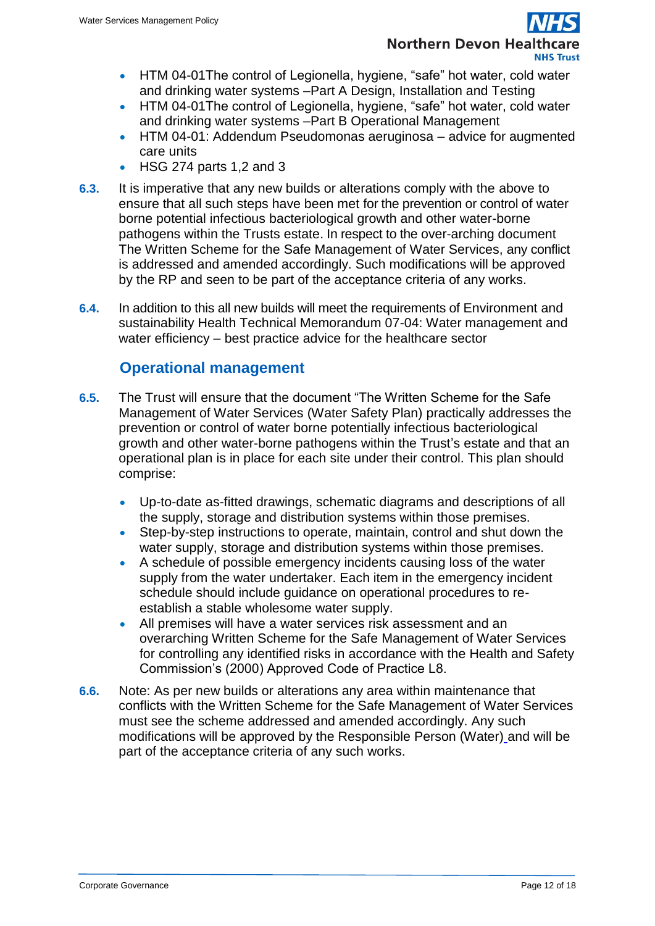# **Northern Devon Healt**

- HTM 04-01 The control of Legionella, hygiene, "safe" hot water, cold water and drinking water systems –Part A Design, Installation and Testing
- HTM 04-01 The control of Legionella, hygiene, "safe" hot water, cold water and drinking water systems –Part B Operational Management
- HTM 04-01: Addendum Pseudomonas aeruginosa advice for augmented care units
- HSG 274 parts 1,2 and 3
- **6.3.** It is imperative that any new builds or alterations comply with the above to ensure that all such steps have been met for the prevention or control of water borne potential infectious bacteriological growth and other water-borne pathogens within the Trusts estate. In respect to the over-arching document The Written Scheme for the Safe Management of Water Services, any conflict is addressed and amended accordingly. Such modifications will be approved by the RP and seen to be part of the acceptance criteria of any works.
- **6.4.** In addition to this all new builds will meet the requirements of Environment and sustainability Health Technical Memorandum 07-04: Water management and water efficiency – best practice advice for the healthcare sector

## **Operational management**

- <span id="page-11-0"></span>**6.5.** The Trust will ensure that the document "The Written Scheme for the Safe Management of Water Services (Water Safety Plan) practically addresses the prevention or control of water borne potentially infectious bacteriological growth and other water-borne pathogens within the Trust's estate and that an operational plan is in place for each site under their control. This plan should comprise:
	- Up-to-date as-fitted drawings, schematic diagrams and descriptions of all the supply, storage and distribution systems within those premises.
	- Step-by-step instructions to operate, maintain, control and shut down the water supply, storage and distribution systems within those premises.
	- A schedule of possible emergency incidents causing loss of the water supply from the water undertaker. Each item in the emergency incident schedule should include guidance on operational procedures to reestablish a stable wholesome water supply.
	- All premises will have a water services risk assessment and an overarching Written Scheme for the Safe Management of Water Services for controlling any identified risks in accordance with the Health and Safety Commission's (2000) Approved Code of Practice L8.
- **6.6.** Note: As per new builds or alterations any area within maintenance that conflicts with the Written Scheme for the Safe Management of Water Services must see the scheme addressed and amended accordingly. Any such modifications will be approved by the Responsible Person (Water) and will be part of the acceptance criteria of any such works.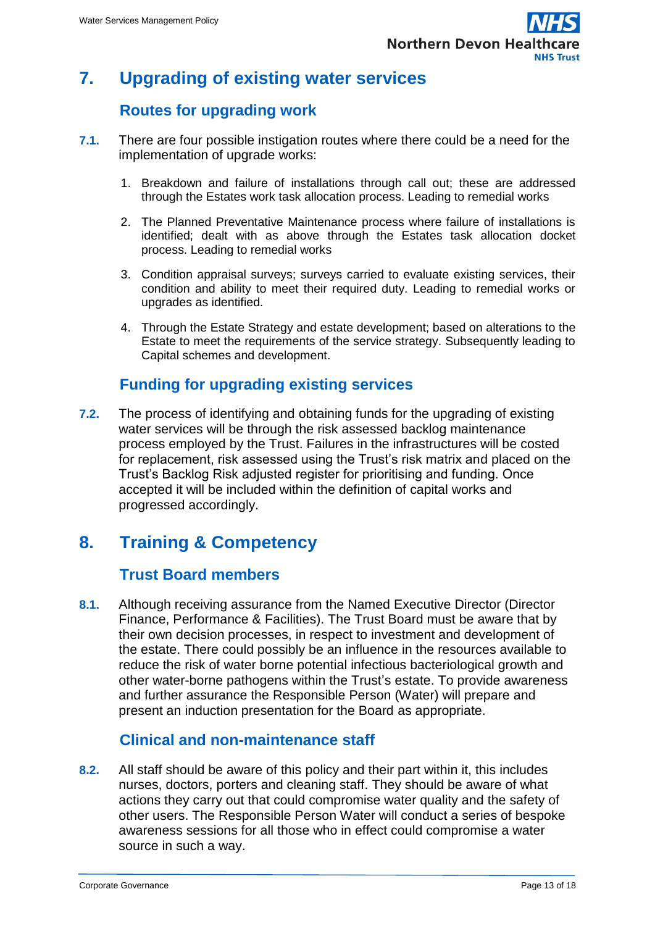

## <span id="page-12-0"></span>**7. Upgrading of existing water services**

## **Routes for upgrading work**

- <span id="page-12-1"></span>**7.1.** There are four possible instigation routes where there could be a need for the implementation of upgrade works:
	- 1. Breakdown and failure of installations through call out; these are addressed through the Estates work task allocation process. Leading to remedial works
	- 2. The Planned Preventative Maintenance process where failure of installations is identified; dealt with as above through the Estates task allocation docket process. Leading to remedial works
	- 3. Condition appraisal surveys; surveys carried to evaluate existing services, their condition and ability to meet their required duty. Leading to remedial works or upgrades as identified.
	- 4. Through the Estate Strategy and estate development; based on alterations to the Estate to meet the requirements of the service strategy. Subsequently leading to Capital schemes and development.

## **Funding for upgrading existing services**

<span id="page-12-2"></span>**7.2.** The process of identifying and obtaining funds for the upgrading of existing water services will be through the risk assessed backlog maintenance process employed by the Trust. Failures in the infrastructures will be costed for replacement, risk assessed using the Trust's risk matrix and placed on the Trust's Backlog Risk adjusted register for prioritising and funding. Once accepted it will be included within the definition of capital works and progressed accordingly.

## <span id="page-12-3"></span>**8. Training & Competency**

## **Trust Board members**

<span id="page-12-4"></span>**8.1.** Although receiving assurance from the Named Executive Director (Director Finance, Performance & Facilities). The Trust Board must be aware that by their own decision processes, in respect to investment and development of the estate. There could possibly be an influence in the resources available to reduce the risk of water borne potential infectious bacteriological growth and other water-borne pathogens within the Trust's estate. To provide awareness and further assurance the Responsible Person (Water) will prepare and present an induction presentation for the Board as appropriate.

#### **Clinical and non-maintenance staff**

<span id="page-12-5"></span>**8.2.** All staff should be aware of this policy and their part within it, this includes nurses, doctors, porters and cleaning staff. They should be aware of what actions they carry out that could compromise water quality and the safety of other users. The Responsible Person Water will conduct a series of bespoke awareness sessions for all those who in effect could compromise a water source in such a way.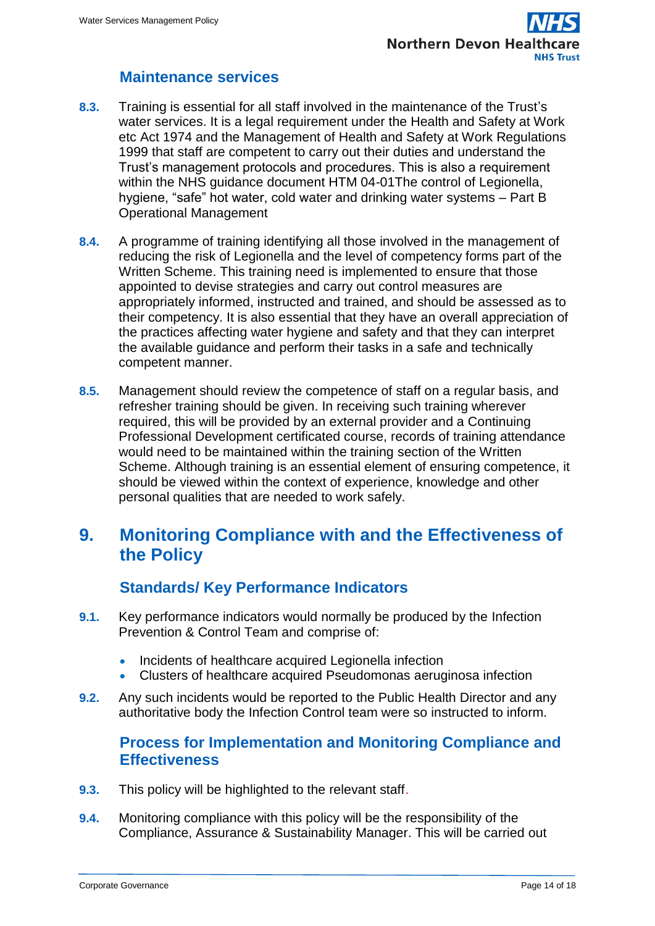## **Maintenance services**

- <span id="page-13-0"></span>**8.3.** Training is essential for all staff involved in the maintenance of the Trust's water services. It is a legal requirement under the Health and Safety at Work etc Act 1974 and the Management of Health and Safety at Work Regulations 1999 that staff are competent to carry out their duties and understand the Trust's management protocols and procedures. This is also a requirement within the NHS guidance document HTM 04-01The control of Legionella, hygiene, "safe" hot water, cold water and drinking water systems – Part B Operational Management
- **8.4.** A programme of training identifying all those involved in the management of reducing the risk of Legionella and the level of competency forms part of the Written Scheme. This training need is implemented to ensure that those appointed to devise strategies and carry out control measures are appropriately informed, instructed and trained, and should be assessed as to their competency. It is also essential that they have an overall appreciation of the practices affecting water hygiene and safety and that they can interpret the available guidance and perform their tasks in a safe and technically competent manner.
- **8.5.** Management should review the competence of staff on a regular basis, and refresher training should be given. In receiving such training wherever required, this will be provided by an external provider and a Continuing Professional Development certificated course, records of training attendance would need to be maintained within the training section of the Written Scheme. Although training is an essential element of ensuring competence, it should be viewed within the context of experience, knowledge and other personal qualities that are needed to work safely.

## <span id="page-13-1"></span>**9. Monitoring Compliance with and the Effectiveness of the Policy**

## **Standards/ Key Performance Indicators**

- <span id="page-13-2"></span>**9.1.** Key performance indicators would normally be produced by the Infection Prevention & Control Team and comprise of:
	- Incidents of healthcare acquired Legionella infection
	- Clusters of healthcare acquired Pseudomonas aeruginosa infection
- <span id="page-13-3"></span>**9.2.** Any such incidents would be reported to the Public Health Director and any authoritative body the Infection Control team were so instructed to inform.

## **Process for Implementation and Monitoring Compliance and Effectiveness**

- **9.3.** This policy will be highlighted to the relevant staff.
- **9.4.** Monitoring compliance with this policy will be the responsibility of the Compliance, Assurance & Sustainability Manager. This will be carried out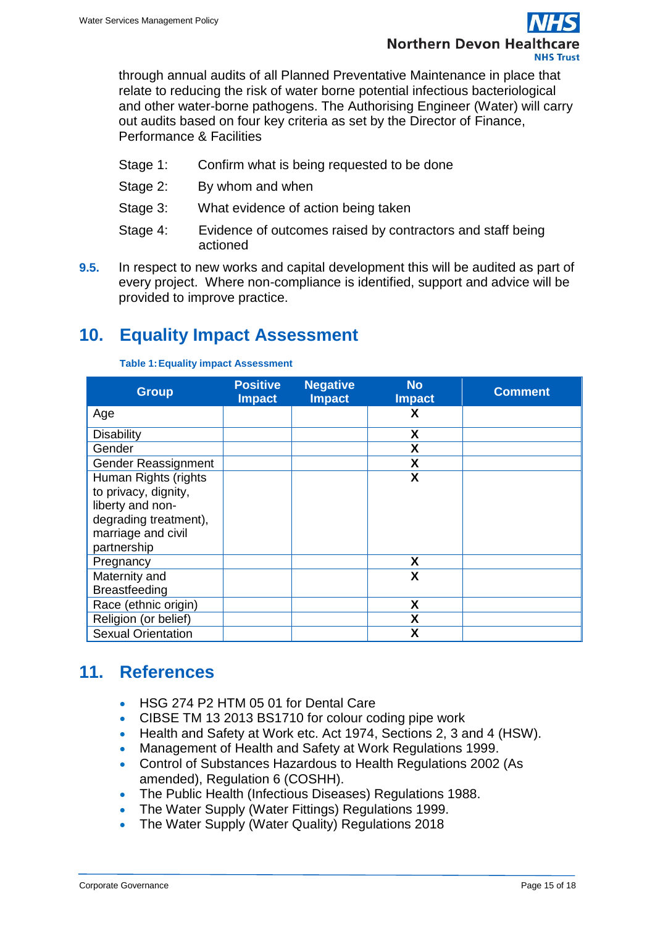

through annual audits of all Planned Preventative Maintenance in place that relate to reducing the risk of water borne potential infectious bacteriological and other water-borne pathogens. The Authorising Engineer (Water) will carry out audits based on four key criteria as set by the Director of Finance, Performance & Facilities

- Stage 1: Confirm what is being requested to be done
- Stage 2: By whom and when
- Stage 3: What evidence of action being taken
- Stage 4: Evidence of outcomes raised by contractors and staff being actioned
- **9.5.** In respect to new works and capital development this will be audited as part of every project. Where non-compliance is identified, support and advice will be provided to improve practice.

## <span id="page-14-0"></span>**10. Equality Impact Assessment**

| <b>Group</b>              | <b>Positive</b><br><b>Impact</b> | <b>Negative</b><br><b>Impact</b> | <b>No</b><br><b>Impact</b> | <b>Comment</b> |
|---------------------------|----------------------------------|----------------------------------|----------------------------|----------------|
| Age                       |                                  |                                  | X                          |                |
| <b>Disability</b>         |                                  |                                  | X                          |                |
| Gender                    |                                  |                                  | X                          |                |
| Gender Reassignment       |                                  |                                  | X                          |                |
| Human Rights (rights      |                                  |                                  | X                          |                |
| to privacy, dignity,      |                                  |                                  |                            |                |
| liberty and non-          |                                  |                                  |                            |                |
| degrading treatment),     |                                  |                                  |                            |                |
| marriage and civil        |                                  |                                  |                            |                |
| partnership               |                                  |                                  |                            |                |
| Pregnancy                 |                                  |                                  | X                          |                |
| Maternity and             |                                  |                                  | X                          |                |
| <b>Breastfeeding</b>      |                                  |                                  |                            |                |
| Race (ethnic origin)      |                                  |                                  | X                          |                |
| Religion (or belief)      |                                  |                                  | Χ                          |                |
| <b>Sexual Orientation</b> |                                  |                                  | X                          |                |

**Table 1:Equality impact Assessment**

## <span id="page-14-1"></span>**11. References**

- HSG 274 P2 HTM 05 01 for Dental Care
- CIBSE TM 13 2013 BS1710 for colour coding pipe work
- Health and Safety at Work etc. Act 1974, Sections 2, 3 and 4 (HSW).
- Management of Health and Safety at Work Regulations 1999.
- Control of Substances Hazardous to Health Regulations 2002 (As amended), Regulation 6 (COSHH).
- The Public Health (Infectious Diseases) Regulations 1988.
- The Water Supply (Water Fittings) Regulations 1999.
- The Water Supply (Water Quality) Regulations 2018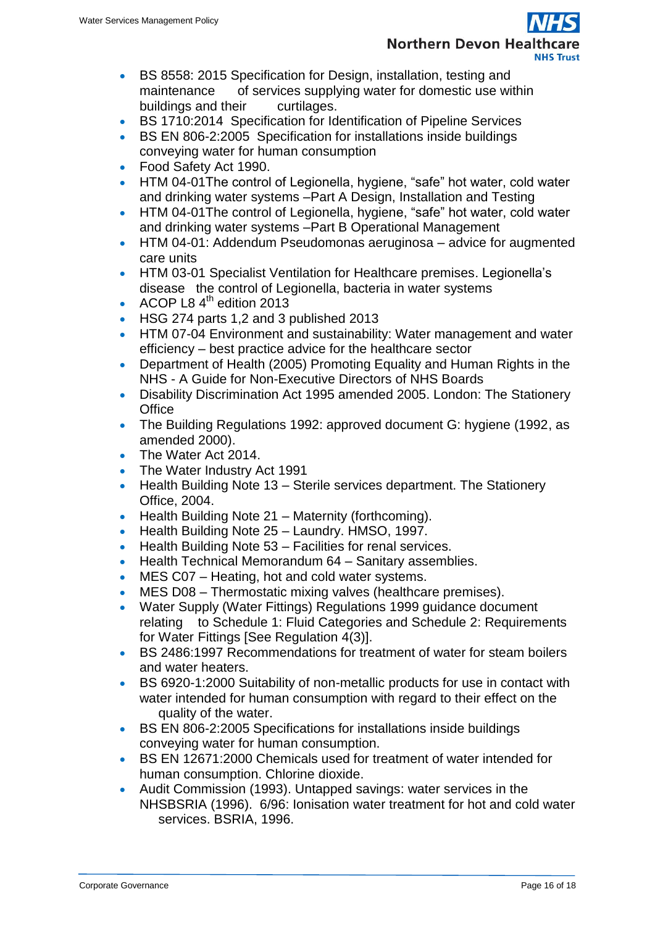

- BS 8558: 2015 Specification for Design, installation, testing and maintenance of services supplying water for domestic use within buildings and their curtilages.
- BS 1710:2014 Specification for Identification of Pipeline Services
- BS EN 806-2:2005 Specification for installations inside buildings conveying water for human consumption
- Food Safety Act 1990.
- HTM 04-01The control of Legionella, hygiene, "safe" hot water, cold water and drinking water systems –Part A Design, Installation and Testing
- HTM 04-01The control of Legionella, hygiene, "safe" hot water, cold water and drinking water systems –Part B Operational Management
- HTM 04-01: Addendum Pseudomonas aeruginosa advice for augmented care units
- HTM 03-01 Specialist Ventilation for Healthcare premises. Legionella's disease the control of Legionella, bacteria in water systems
- ACOP L8  $4^{\text{th}}$  edition 2013
- HSG 274 parts 1,2 and 3 published 2013
- HTM 07-04 Environment and sustainability: Water management and water efficiency – best practice advice for the healthcare sector
- Department of Health (2005) Promoting Equality and Human Rights in the NHS - A Guide for Non-Executive Directors of NHS Boards
- Disability Discrimination Act 1995 amended 2005. London: The Stationery **Office**
- The Building Regulations 1992: approved document G: hygiene (1992, as amended 2000).
- The Water Act 2014.
- The Water Industry Act 1991
- $\bullet$  Health Building Note 13 Sterile services department. The Stationery Office, 2004.
- $\bullet$  Health Building Note 21 Maternity (forthcoming).
- Health Building Note 25 Laundry. HMSO, 1997.
- Health Building Note 53 Facilities for renal services.
- Health Technical Memorandum 64 Sanitary assemblies.
- MES C07 Heating, hot and cold water systems.
- MES D08 Thermostatic mixing valves (healthcare premises).
- Water Supply (Water Fittings) Regulations 1999 guidance document relating to Schedule 1: Fluid Categories and Schedule 2: Requirements for Water Fittings [See Regulation 4(3)].
- BS 2486:1997 Recommendations for treatment of water for steam boilers and water heaters.
- BS 6920-1:2000 Suitability of non-metallic products for use in contact with water intended for human consumption with regard to their effect on the quality of the water.
- BS EN 806-2:2005 Specifications for installations inside buildings conveying water for human consumption.
- BS EN 12671:2000 Chemicals used for treatment of water intended for human consumption. Chlorine dioxide.
- Audit Commission (1993). Untapped savings: water services in the NHSBSRIA (1996). 6/96: Ionisation water treatment for hot and cold water services. BSRIA, 1996.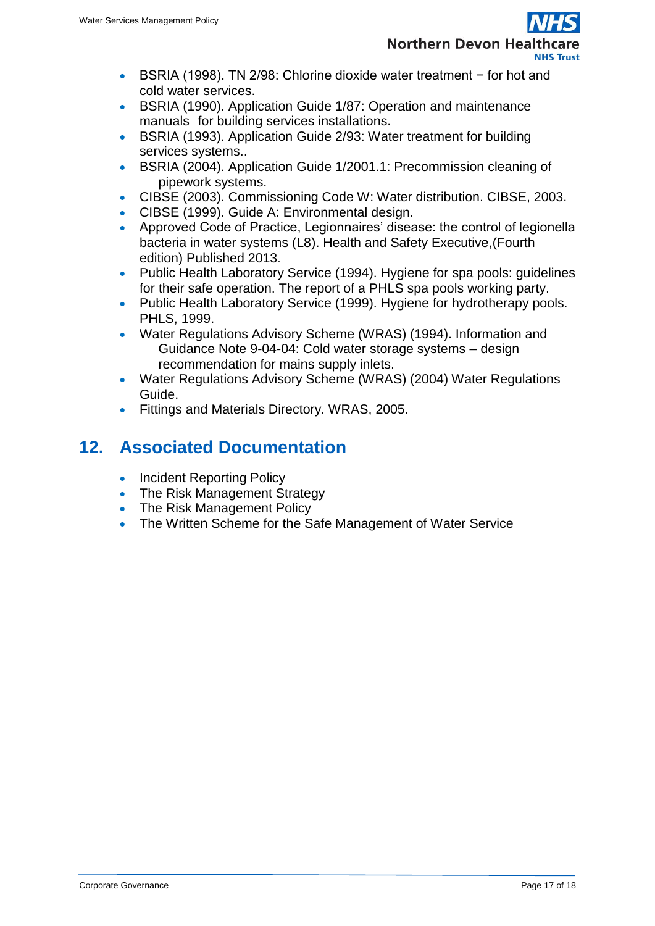

- BSRIA (1998). TN 2/98: Chlorine dioxide water treatment − for hot and cold water services.
- BSRIA (1990). Application Guide 1/87: Operation and maintenance manuals for building services installations.
- BSRIA (1993). Application Guide 2/93: Water treatment for building services systems..
- BSRIA (2004). Application Guide 1/2001.1: Precommission cleaning of pipework systems.
- CIBSE (2003). Commissioning Code W: Water distribution. CIBSE, 2003.
- CIBSE (1999). Guide A: Environmental design.
- Approved Code of Practice, Legionnaires' disease: the control of legionella bacteria in water systems (L8). Health and Safety Executive,(Fourth edition) Published 2013.
- Public Health Laboratory Service (1994). Hygiene for spa pools: guidelines for their safe operation. The report of a PHLS spa pools working party.
- Public Health Laboratory Service (1999). Hygiene for hydrotherapy pools. PHLS, 1999.
- Water Regulations Advisory Scheme (WRAS) (1994). Information and Guidance Note 9-04-04: Cold water storage systems – design recommendation for mains supply inlets.
- Water Regulations Advisory Scheme (WRAS) (2004) Water Regulations Guide.
- Fittings and Materials Directory. WRAS, 2005.

## <span id="page-16-0"></span>**12. Associated Documentation**

- [Incident Reporting Policy](http://ndht.ndevon.swest.nhs.uk/policies/?p=214)
- [The Risk Management Strategy](http://ndht.ndevon.swest.nhs.uk/policies/?p=253)
- [The Risk Management Policy](http://ndht.ndevon.swest.nhs.uk/policies/?p=346)
- The Written Scheme for the Safe Management of Water Service